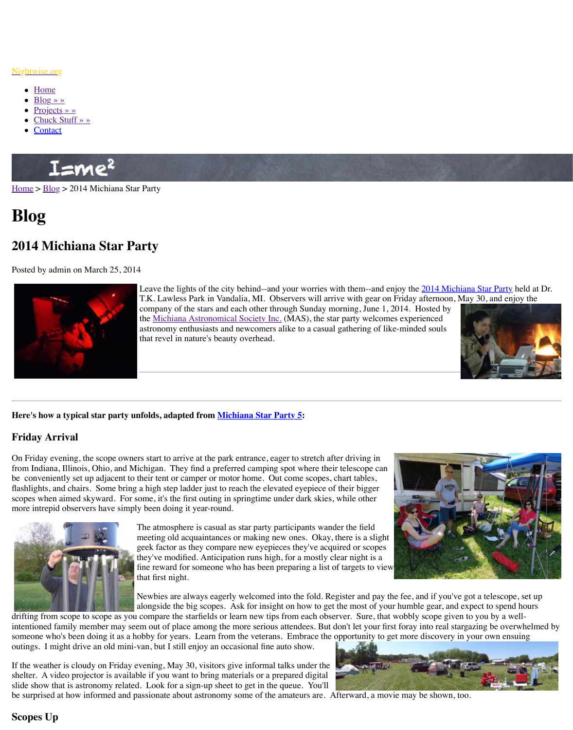

Leave the lights of the city behind--and your worries with them--and enjoy the 2014 Michiana Star Party held at Dr. T.K. Lawless Park in Vandalia, MI. Observers will arrive company of the stars and each other through Sunday mo the Michiana Astronomical Society Inc. (MAS), the star astronomy enthusiasts and newcomers alike to a casual gathering of likethat revel in nature's beauty overhead.

## **Here'[s how a](http://www.nightwise.org/contact/) [typical](http://www.nightwise.org/chuck-stuff/) star party unfolds, adapted from Michiana Star Party 5:**

# **Friday Arrival**

On Friday evening, the scope owners start to arrive at the park entrance, eager to stretch after driving in  $\theta$ from Indiana, Illinois, Ohio, and Michigan. They find a preferred camping spot where their [be con](http://www.nightwise.org/)v[enien](http://www.nightwise.org/blog/)tly set up adjacent to their tent or camper or motor home. Out come scopes, charter tables, flashlights, and chairs. Some bring a high step ladder just to reach the elevated eyepiece of the scopes when aimed skyward. For some, it's the first outing in springtime under dark skies, w more intrepid observers have simply been doing it year-round.



The atmosphere is casual as star party participants wander meeting old acquaintances or making new ones. Okay, there is a slight geek factor as they compare new eyepieces they've acquired or scopes factor as they've acquired  $\alpha$ they've modified. Anticipation runs high, for a mostly cle fine reward for someone who has been preparing a list of that first night.

Newbies are always eagerly welcomed into the fold. Reg alo[ngside the big scopes. Ask for insight](http://www.michiana-astro.org/) on how to get the

drifting from scope to scope as you compare the starfields or learn new tips from each observer. intentioned family member may seem out of place among the more serious attendees. But do someone who's been doing it as a hobby for years. Learn from the veterans. Embrace the op outings. I might drive an old mini-van, but I still enjoy an occasional fine auto show.

If the weather is cloudy on Friday evening, May 30, visitors give informal talks under the shelter. A video projector is available if you want to bring materials or a prepared digital slide show that is astronomy related. Look for a sign-up sheet to get in the queue. You'll be surprised at how informed and passionate about astron[omy some of the amateu](http://www.nightwise.org/blog/michiana-star-party-5/)rs are. Afterward, a movie may be shown, to

# **Scopes Up**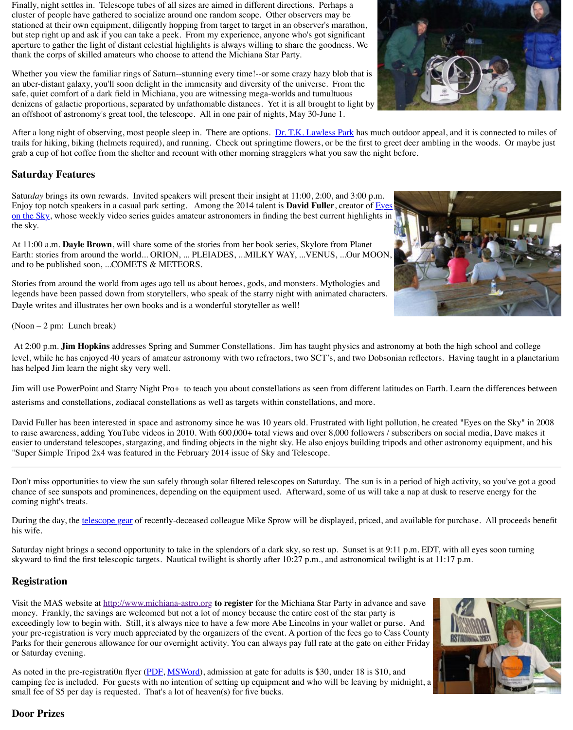legends have been passed down from storytellers, who speak of the starry night with animate Dayle writes and illustrates her own books and is a wonderful storyteller as well!

(Noon – 2 pm: Lunch break)

At 2:00 p.m. **Jim Hopkins** addresses Spring and Summer Constellations. Jim has taught ph level, while he has enjoyed 40 years of amateur astronomy with two refractors, two SCT's, a has helped Jim learn the night sky very well.

Jim will use PowerPoint and Starry Night Pro+ to teach you about constellations as seen from asterisms and constellations, zodiacal constellations as well as targets within constellations,

David Fuller has been interested in space and astronomy since he was 10 years old. Frustrate to raise awareness, adding YouTube videos in 2010. With  $600,000+$  total views and over  $8,0$ easier to understand telescopes, stargazing, and finding objects in the night sky. He also enjo "Super Simple Tripod 2x4 was featured in the February 2014 issue of Sky and Telescope.

Don't miss opportunities to view the sun safely through solar filtered telescopes on Saturday. chance of see sunspots and prominences, depending on the equipment used. Afterward, some coming night's treats.

During the day, the telescope gear of recently-deceased colleague Mike Sprow will be displa his wife.

Saturday night brings a second opportunity to take in the splendors of a dark sky, so rest up. skyward to find the first telescopic targets. Nautical twilight is shortly after 10:27 p.m., and

# **Registration**

Visit the MAS website at http://www.michiana-astro.org **to register** for the Michiana Star Pa money. Frankly, the savings are welcomed but not a lot of money because the entire cost of exceedingly low to begin with. Still, it's always nice to have a few more Abe Lincolns in yo your pre-registration is very much appreciated by the organizers of the event. A portion of the Parks for their generous allowance for our overnight activity. You can always pay full rate at or Saturday evening.

As noted in the pre-registration flyer (PDF, MSWord), admission at gate for adults is \$30, under 18 is \$10. camping fee is included. For guests with no intention of setting up equipment and who will small fee of \$5 per day is requested. That's a lot of heaven(s) for five bucks.

# **Door Prizes**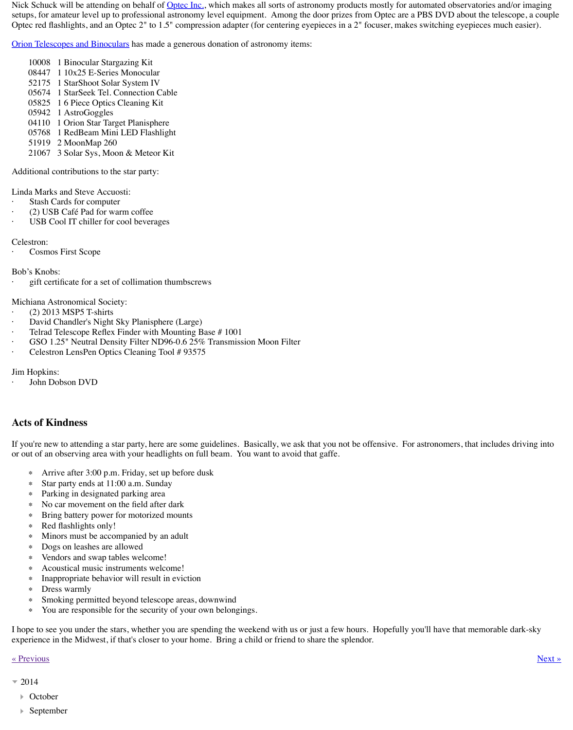Michiana Astronomical Society:

- · (2) 2013 MSP5 T-shirts
- David Chandler's Night Sky Planisphere (Large)
- Telrad Telescope Reflex Finder with Mounting Base #1001
- GSO 1.25" Neutral Density Filter ND96-0.6 25% Transmission Moon Filter
- Celestron LensPen Optics Cleaning Tool # 93575

Jim Hopkins:

John Dobson DVD

## **Acts of Kindness**

If you're new to attending a star party, here are some guidelines. Basically, we ask that you not be very or out of an observing area with your headlights on full beam. You want to avoid that gaffe.

- ∗ Arrive after 3:00 p.m. Friday, set up before dusk
- ∗ Star party ends at 11:00 a.m. Sunday
- ∗ Parking in designated parking area
- ∗ No car movement on the field after dark
- ∗ Bring battery power for motorized mounts
- ∗ Red flashlights only!
- ∗ Minors must be accompanied by an adult
- ∗ Dogs on leashes are allowed
- ∗ Vendors and swap tables welcome!
- ∗ Acoustical music instruments welcome!
- ∗ Inappropriate behavior will result in eviction
- ∗ Dress warmly
- ∗ Smoking permitted beyond telescope areas, downwind
- ∗ You are responsible for the security of your own belongings.

I hope to see you under the stars, whether you are spending the weekend with us or just a few experience in the Midwest, if that's closer to your home. Bring a child or friend to share the

### « Previous » Next » Next » Next » Next » Next » Next » Next » Next » Next » Next » Next » Next » Next » Next » Next » Next » Next » Next » Next » Next » Next » Next » Next » Next » Next » Next » Next » Next » Next » Next »

## $= 2014$

- October
- September